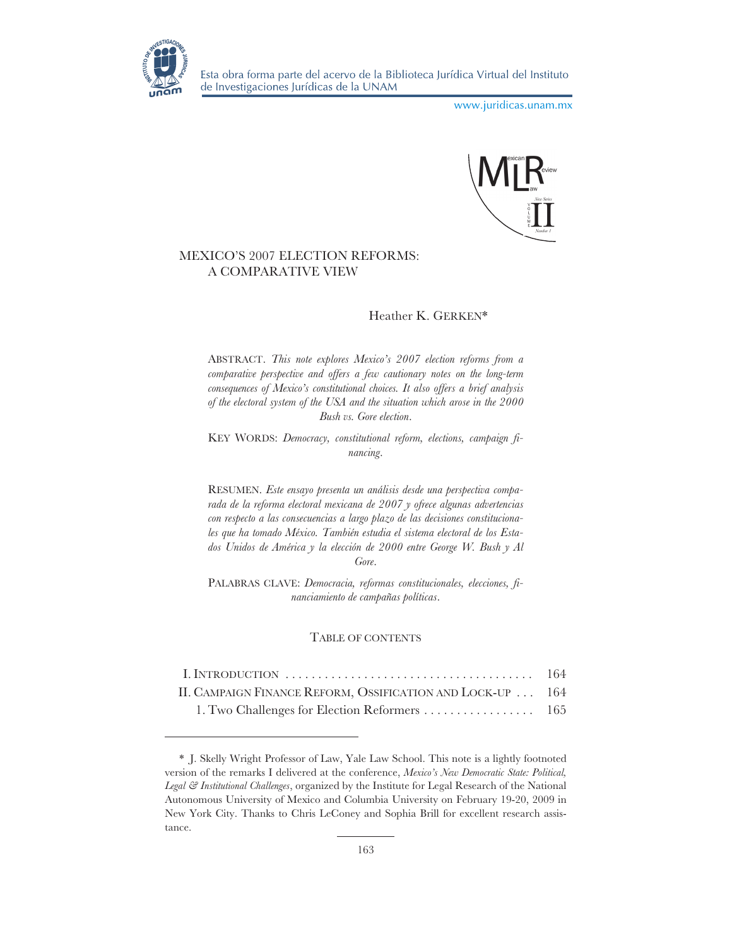

www.juridicas.unam.mx



# MEXICO'S 2007 ELECTION REFORMS: A COMPARATIVE VIEW

# Heather K. GERKEN\*

ABSTRACT. *This note explores Mexico's 2007 election reforms from a comparative perspective and offers a few cautionary notes on the long-term consequences of Mexico's constitutional choices. It also offers a brief analysis of the electoral system of the USA and the situation which arose in the 2000 Bush vs. Gore election*.

KEY WORDS: *Democracy, constitutional reform, elections, campaign financing*.

RESUMEN. *Este ensayo presenta un análisis desde una perspectiva comparada de la reforma electoral mexicana de 2007 y ofrece algunas advertencias con respecto a las consecuencias a largo plazo de las decisiones constitucionales que ha tomado México. También estudia el sistema electoral de los Estados Unidos de América y la elección de 2000 entre George W. Bush y Al Gore*.

PALABRAS CLAVE: *Democracia, reformas constitucionales, elecciones, financiamiento de campañas políticas*.

# TABLE OF CONTENTS

| II. CAMPAIGN FINANCE REFORM, OSSIFICATION AND LOCK-UP  164 |  |
|------------------------------------------------------------|--|
|                                                            |  |

<sup>\*</sup> J. Skelly Wright Professor of Law, Yale Law School. This note is a lightly footnoted version of the remarks I delivered at the conference, *Mexico's New Democratic State: Political, Legal & Institutional Challenges*, organized by the Institute for Legal Research of the National Autonomous University of Mexico and Columbia University on February 19-20, 2009 in New York City. Thanks to Chris LeConey and Sophia Brill for excellent research assistance.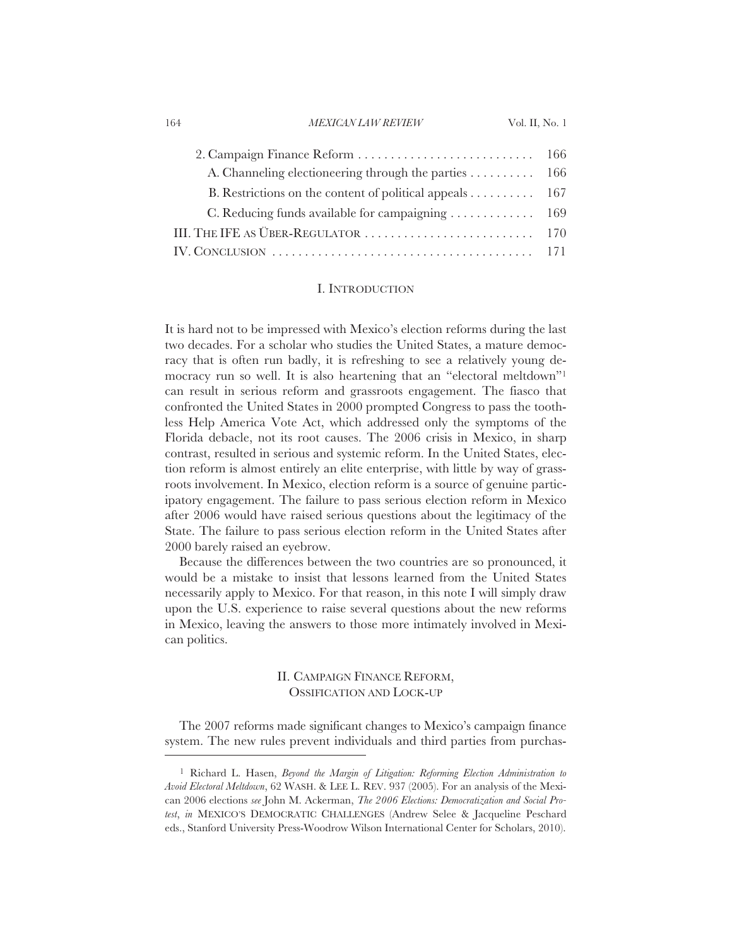164 Vol. II, No. 1 *MEXICAN LAW REVIEW*

| A. Channeling electioneering through the parties 166                                                            |  |
|-----------------------------------------------------------------------------------------------------------------|--|
| B. Restrictions on the content of political appeals $\dots \dots \dots \dots$ 167                               |  |
| C. Reducing funds available for campaigning 169                                                                 |  |
|                                                                                                                 |  |
| IV. CONCLUSION $\ldots \ldots \ldots \ldots \ldots \ldots \ldots \ldots \ldots \ldots \ldots \ldots \ldots 171$ |  |

## I. INTRODUCTION

It is hard not to be impressed with Mexico's election reforms during the last two decades. For a scholar who studies the United States, a mature democracy that is often run badly, it is refreshing to see a relatively young democracy run so well. It is also heartening that an "electoral meltdown"1 can result in serious reform and grassroots engagement. The fiasco that confronted the United States in 2000 prompted Congress to pass the toothless Help America Vote Act, which addressed only the symptoms of the Florida debacle, not its root causes. The 2006 crisis in Mexico, in sharp contrast, resulted in serious and systemic reform. In the United States, election reform is almost entirely an elite enterprise, with little by way of grassroots involvement. In Mexico, election reform is a source of genuine participatory engagement. The failure to pass serious election reform in Mexico after 2006 would have raised serious questions about the legitimacy of the State. The failure to pass serious election reform in the United States after 2000 barely raised an eyebrow.

Because the differences between the two countries are so pronounced, it would be a mistake to insist that lessons learned from the United States necessarily apply to Mexico. For that reason, in this note I will simply draw upon the U.S. experience to raise several questions about the new reforms in Mexico, leaving the answers to those more intimately involved in Mexican politics.

# II. CAMPAIGN FINANCE REFORM, OSSIFICATION AND LOCK-UP

The 2007 reforms made significant changes to Mexico's campaign finance system. The new rules prevent individuals and third parties from purchas-

<sup>1</sup> Richard L. Hasen, *Beyond the Margin of Litigation: Reforming Election Administration to Avoid Electoral Meltdown*, 62 WASH.&LEE L. REV. 937 (2005). For an analysis of the Mexican 2006 elections *see* John M. Ackerman, *The 2006 Elections: Democratization and Social Protest*, *in* MEXICO'S DEMOCRATIC CHALLENGES (Andrew Selee & Jacqueline Peschard eds., Stanford University Press-Woodrow Wilson International Center for Scholars, 2010).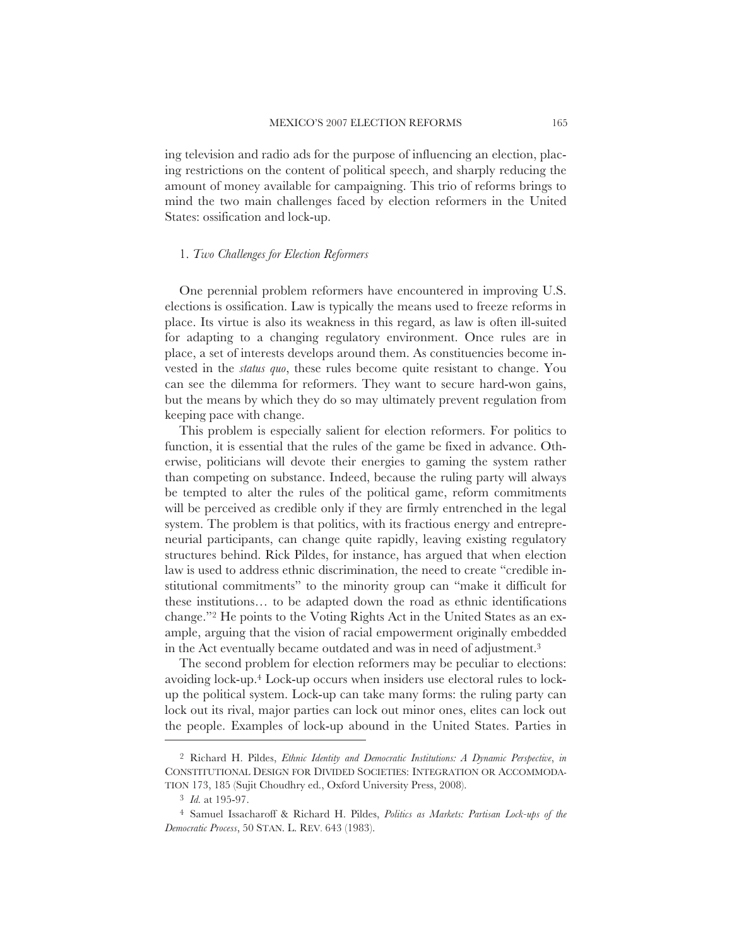ing television and radio ads for the purpose of influencing an election, placing restrictions on the content of political speech, and sharply reducing the amount of money available for campaigning. This trio of reforms brings to mind the two main challenges faced by election reformers in the United States: ossification and lock-up.

#### 1. *Two Challenges for Election Reformers*

One perennial problem reformers have encountered in improving U.S. elections is ossification. Law is typically the means used to freeze reforms in place. Its virtue is also its weakness in this regard, as law is often ill-suited for adapting to a changing regulatory environment. Once rules are in place, a set of interests develops around them. As constituencies become invested in the *status quo*, these rules become quite resistant to change. You can see the dilemma for reformers. They want to secure hard-won gains, but the means by which they do so may ultimately prevent regulation from keeping pace with change.

This problem is especially salient for election reformers. For politics to function, it is essential that the rules of the game be fixed in advance. Otherwise, politicians will devote their energies to gaming the system rather than competing on substance. Indeed, because the ruling party will always be tempted to alter the rules of the political game, reform commitments will be perceived as credible only if they are firmly entrenched in the legal system. The problem is that politics, with its fractious energy and entrepreneurial participants, can change quite rapidly, leaving existing regulatory structures behind. Rick Pildes, for instance, has argued that when election law is used to address ethnic discrimination, the need to create "credible institutional commitments" to the minority group can "make it difficult for these institutions… to be adapted down the road as ethnic identifications change."2 He points to the Voting Rights Act in the United States as an example, arguing that the vision of racial empowerment originally embedded in the Act eventually became outdated and was in need of adjustment.3

The second problem for election reformers may be peculiar to elections: avoiding lock-up.4 Lock-up occurs when insiders use electoral rules to lockup the political system. Lock-up can take many forms: the ruling party can lock out its rival, major parties can lock out minor ones, elites can lock out the people. Examples of lock-up abound in the United States. Parties in

<sup>2</sup> Richard H. Pildes, *Ethnic Identity and Democratic Institutions: A Dynamic Perspective*, *in* CONSTITUTIONAL DESIGN FOR DIVIDED SOCIETIES: INTEGRATION OR ACCOMMODA-TION 173, 185 (Sujit Choudhry ed., Oxford University Press, 2008).

<sup>3</sup> *Id.* at 195-97.

<sup>4</sup> Samuel Issacharoff & Richard H. Pildes, *Politics as Markets: Partisan Lock-ups of the Democratic Process*, 50 STAN. L. REV. 643 (1983).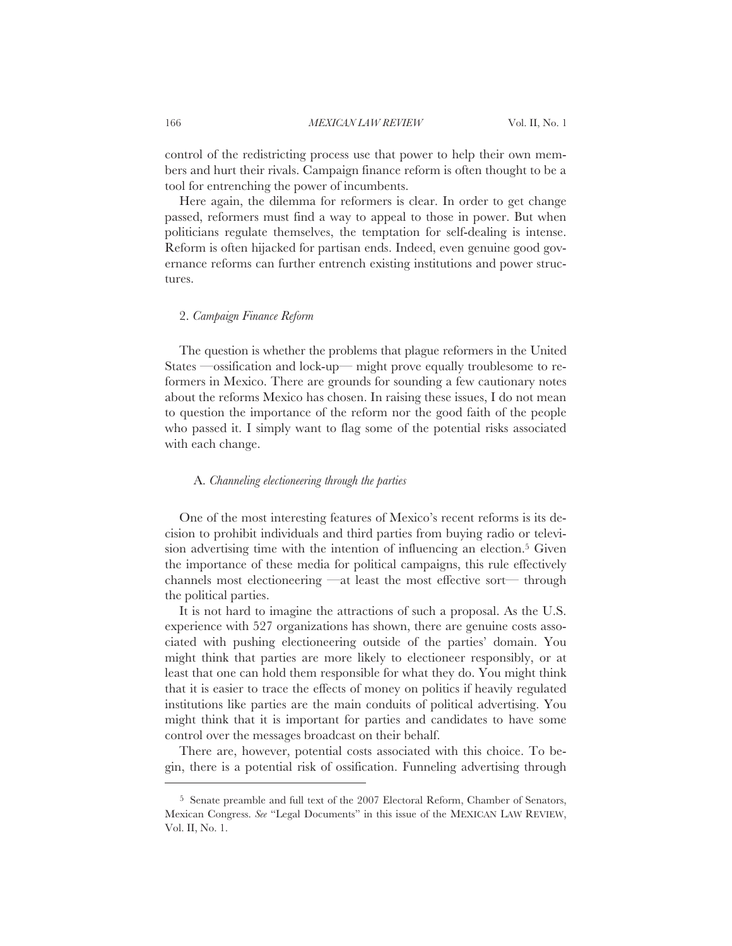166 Vol. II, No. 1 *MEXICAN LAW REVIEW*

control of the redistricting process use that power to help their own members and hurt their rivals. Campaign finance reform is often thought to be a tool for entrenching the power of incumbents.

Here again, the dilemma for reformers is clear. In order to get change passed, reformers must find a way to appeal to those in power. But when politicians regulate themselves, the temptation for self-dealing is intense. Reform is often hijacked for partisan ends. Indeed, even genuine good governance reforms can further entrench existing institutions and power structures.

#### 2. *Campaign Finance Reform*

The question is whether the problems that plague reformers in the United States —ossification and lock-up— might prove equally troublesome to reformers in Mexico. There are grounds for sounding a few cautionary notes about the reforms Mexico has chosen. In raising these issues, I do not mean to question the importance of the reform nor the good faith of the people who passed it. I simply want to flag some of the potential risks associated with each change.

## A. *Channeling electioneering through the parties*

One of the most interesting features of Mexico's recent reforms is its decision to prohibit individuals and third parties from buying radio or television advertising time with the intention of influencing an election.<sup>5</sup> Given the importance of these media for political campaigns, this rule effectively channels most electioneering —at least the most effective sort— through the political parties.

It is not hard to imagine the attractions of such a proposal. As the U.S. experience with 527 organizations has shown, there are genuine costs associated with pushing electioneering outside of the parties' domain. You might think that parties are more likely to electioneer responsibly, or at least that one can hold them responsible for what they do. You might think that it is easier to trace the effects of money on politics if heavily regulated institutions like parties are the main conduits of political advertising. You might think that it is important for parties and candidates to have some control over the messages broadcast on their behalf.

There are, however, potential costs associated with this choice. To begin, there is a potential risk of ossification. Funneling advertising through

<sup>5</sup> Senate preamble and full text of the 2007 Electoral Reform, Chamber of Senators, Mexican Congress. *See* "Legal Documents" in this issue of the MEXICAN LAW REVIEW, Vol. II, No. 1.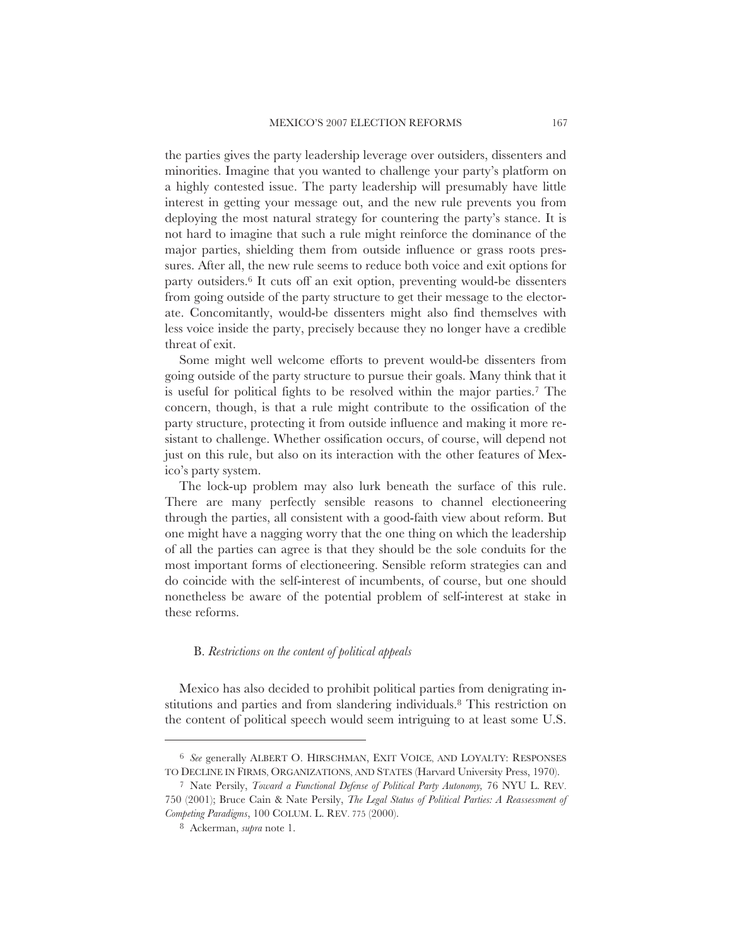the parties gives the party leadership leverage over outsiders, dissenters and minorities. Imagine that you wanted to challenge your party's platform on a highly contested issue. The party leadership will presumably have little interest in getting your message out, and the new rule prevents you from deploying the most natural strategy for countering the party's stance. It is not hard to imagine that such a rule might reinforce the dominance of the major parties, shielding them from outside influence or grass roots pressures. After all, the new rule seems to reduce both voice and exit options for party outsiders.6 It cuts off an exit option, preventing would-be dissenters from going outside of the party structure to get their message to the electorate. Concomitantly, would-be dissenters might also find themselves with less voice inside the party, precisely because they no longer have a credible threat of exit.

Some might well welcome efforts to prevent would-be dissenters from going outside of the party structure to pursue their goals. Many think that it is useful for political fights to be resolved within the major parties.7 The concern, though, is that a rule might contribute to the ossification of the party structure, protecting it from outside influence and making it more resistant to challenge. Whether ossification occurs, of course, will depend not just on this rule, but also on its interaction with the other features of Mexico's party system.

The lock-up problem may also lurk beneath the surface of this rule. There are many perfectly sensible reasons to channel electioneering through the parties, all consistent with a good-faith view about reform. But one might have a nagging worry that the one thing on which the leadership of all the parties can agree is that they should be the sole conduits for the most important forms of electioneering. Sensible reform strategies can and do coincide with the self-interest of incumbents, of course, but one should nonetheless be aware of the potential problem of self-interest at stake in these reforms.

## B. *Restrictions on the content of political appeals*

Mexico has also decided to prohibit political parties from denigrating institutions and parties and from slandering individuals.8 This restriction on the content of political speech would seem intriguing to at least some U.S.

<sup>6</sup> *See* generally ALBERT O. HIRSCHMAN, EXIT VOICE, AND LOYALTY: RESPONSES TO DECLINE IN FIRMS, ORGANIZATIONS, AND STATES (Harvard University Press, 1970).

<sup>7</sup> Nate Persily, *Toward a Functional Defense of Political Party Autonomy,* 76 NYU L. REV. 750 (2001); Bruce Cain & Nate Persily, *The Legal Status of Political Parties: A Reassessment of Competing Paradigms*, 100 COLUM. L. REV. 775 (2000).

<sup>8</sup> Ackerman, *supra* note 1.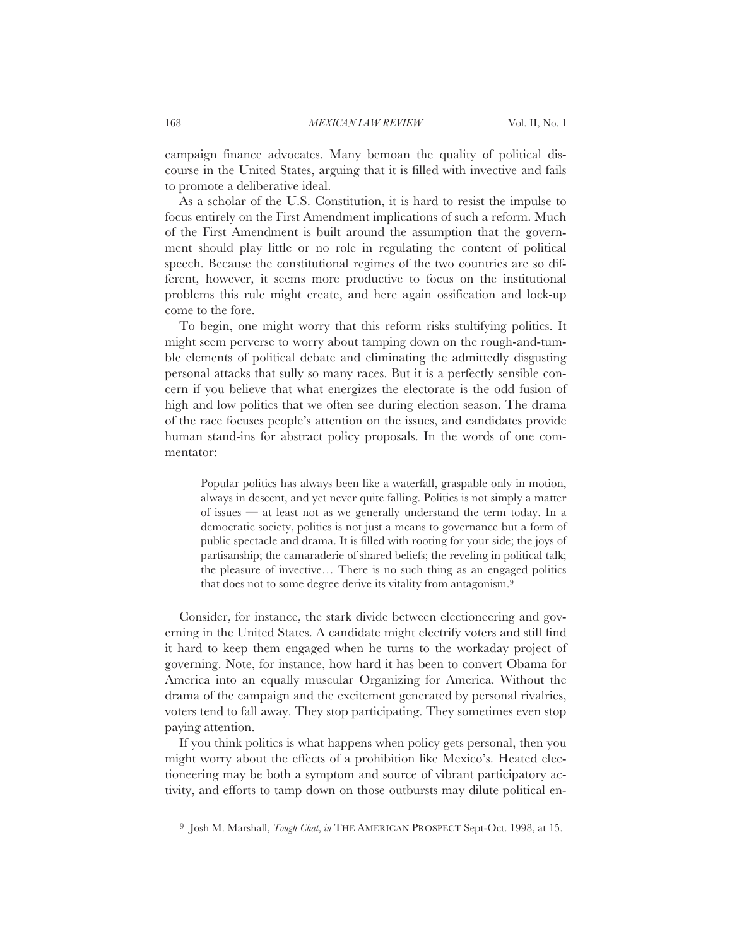campaign finance advocates. Many bemoan the quality of political discourse in the United States, arguing that it is filled with invective and fails to promote a deliberative ideal.

As a scholar of the U.S. Constitution, it is hard to resist the impulse to focus entirely on the First Amendment implications of such a reform. Much of the First Amendment is built around the assumption that the government should play little or no role in regulating the content of political speech. Because the constitutional regimes of the two countries are so different, however, it seems more productive to focus on the institutional problems this rule might create, and here again ossification and lock-up come to the fore.

To begin, one might worry that this reform risks stultifying politics. It might seem perverse to worry about tamping down on the rough-and-tumble elements of political debate and eliminating the admittedly disgusting personal attacks that sully so many races. But it is a perfectly sensible concern if you believe that what energizes the electorate is the odd fusion of high and low politics that we often see during election season. The drama of the race focuses people's attention on the issues, and candidates provide human stand-ins for abstract policy proposals. In the words of one commentator:

Popular politics has always been like a waterfall, graspable only in motion, always in descent, and yet never quite falling. Politics is not simply a matter of issues — at least not as we generally understand the term today. In a democratic society, politics is not just a means to governance but a form of public spectacle and drama. It is filled with rooting for your side; the joys of partisanship; the camaraderie of shared beliefs; the reveling in political talk; the pleasure of invective… There is no such thing as an engaged politics that does not to some degree derive its vitality from antagonism.9

Consider, for instance, the stark divide between electioneering and governing in the United States. A candidate might electrify voters and still find it hard to keep them engaged when he turns to the workaday project of governing. Note, for instance, how hard it has been to convert Obama for America into an equally muscular Organizing for America. Without the drama of the campaign and the excitement generated by personal rivalries, voters tend to fall away. They stop participating. They sometimes even stop paying attention.

If you think politics is what happens when policy gets personal, then you might worry about the effects of a prohibition like Mexico's. Heated electioneering may be both a symptom and source of vibrant participatory activity, and efforts to tamp down on those outbursts may dilute political en-

<sup>9</sup> Josh M. Marshall, *Tough Chat*, *in* THE AMERICAN PROSPECT Sept-Oct. 1998, at 15.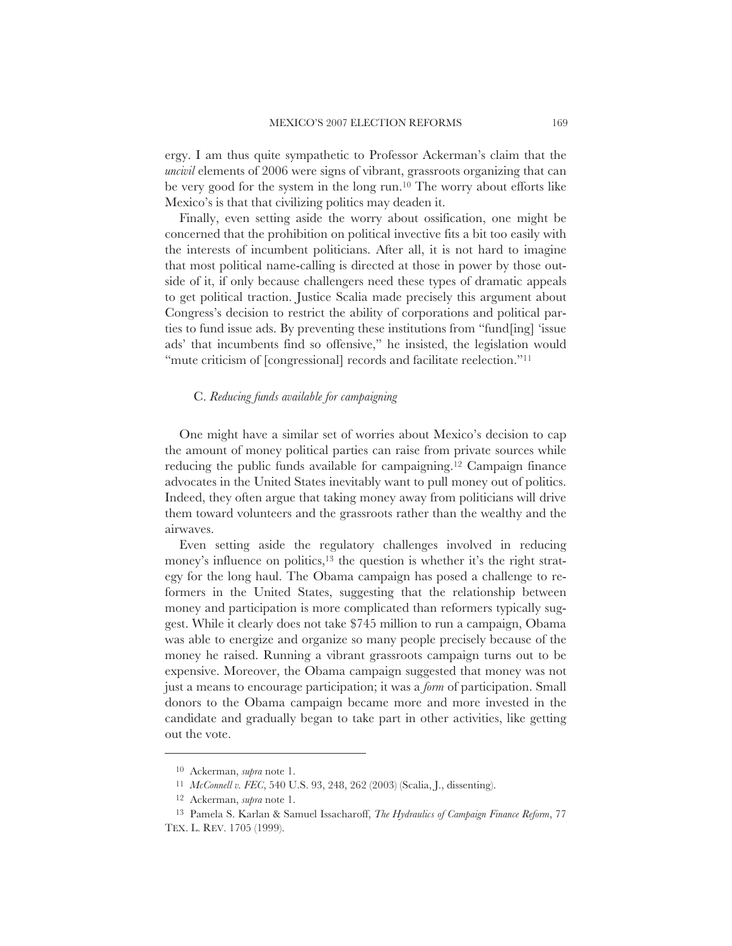ergy. I am thus quite sympathetic to Professor Ackerman's claim that the *uncivil* elements of 2006 were signs of vibrant, grassroots organizing that can be very good for the system in the long run.10 The worry about efforts like Mexico's is that that civilizing politics may deaden it.

Finally, even setting aside the worry about ossification, one might be concerned that the prohibition on political invective fits a bit too easily with the interests of incumbent politicians. After all, it is not hard to imagine that most political name-calling is directed at those in power by those outside of it, if only because challengers need these types of dramatic appeals to get political traction. Justice Scalia made precisely this argument about Congress's decision to restrict the ability of corporations and political parties to fund issue ads. By preventing these institutions from "fund[ing] 'issue ads' that incumbents find so offensive," he insisted, the legislation would "mute criticism of [congressional] records and facilitate reelection."<sup>11</sup>

## C. *Reducing funds available for campaigning*

One might have a similar set of worries about Mexico's decision to cap the amount of money political parties can raise from private sources while reducing the public funds available for campaigning.12 Campaign finance advocates in the United States inevitably want to pull money out of politics. Indeed, they often argue that taking money away from politicians will drive them toward volunteers and the grassroots rather than the wealthy and the airwaves.

Even setting aside the regulatory challenges involved in reducing money's influence on politics,<sup>13</sup> the question is whether it's the right strategy for the long haul. The Obama campaign has posed a challenge to reformers in the United States, suggesting that the relationship between money and participation is more complicated than reformers typically suggest. While it clearly does not take \$745 million to run a campaign, Obama was able to energize and organize so many people precisely because of the money he raised. Running a vibrant grassroots campaign turns out to be expensive. Moreover, the Obama campaign suggested that money was not just a means to encourage participation; it was a *form* of participation. Small donors to the Obama campaign became more and more invested in the candidate and gradually began to take part in other activities, like getting out the vote.

<sup>10</sup> Ackerman, *supra* note 1.

<sup>11</sup> *McConnell v. FEC*, 540 U.S. 93, 248, 262 (2003) (Scalia, J., dissenting).

<sup>12</sup> Ackerman, *supra* note 1.

<sup>13</sup> Pamela S. Karlan & Samuel Issacharoff, *The Hydraulics of Campaign Finance Reform*, 77 TEX. L. REV. 1705 (1999).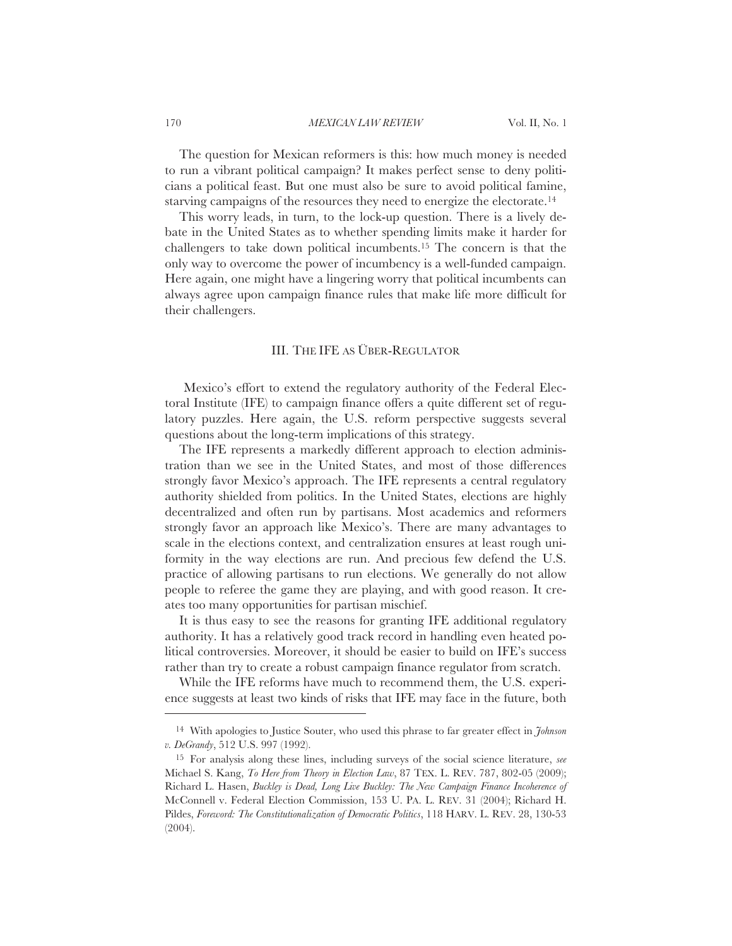The question for Mexican reformers is this: how much money is needed to run a vibrant political campaign? It makes perfect sense to deny politicians a political feast. But one must also be sure to avoid political famine, starving campaigns of the resources they need to energize the electorate.<sup>14</sup>

This worry leads, in turn, to the lock-up question. There is a lively debate in the United States as to whether spending limits make it harder for challengers to take down political incumbents.15 The concern is that the only way to overcome the power of incumbency is a well-funded campaign. Here again, one might have a lingering worry that political incumbents can always agree upon campaign finance rules that make life more difficult for their challengers.

# III. THE IFE AS ÜBER-REGULATOR

Mexico's effort to extend the regulatory authority of the Federal Electoral Institute (IFE) to campaign finance offers a quite different set of regulatory puzzles. Here again, the U.S. reform perspective suggests several questions about the long-term implications of this strategy.

The IFE represents a markedly different approach to election administration than we see in the United States, and most of those differences strongly favor Mexico's approach. The IFE represents a central regulatory authority shielded from politics. In the United States, elections are highly decentralized and often run by partisans. Most academics and reformers strongly favor an approach like Mexico's. There are many advantages to scale in the elections context, and centralization ensures at least rough uniformity in the way elections are run. And precious few defend the U.S. practice of allowing partisans to run elections. We generally do not allow people to referee the game they are playing, and with good reason. It creates too many opportunities for partisan mischief.

It is thus easy to see the reasons for granting IFE additional regulatory authority. It has a relatively good track record in handling even heated political controversies. Moreover, it should be easier to build on IFE's success rather than try to create a robust campaign finance regulator from scratch.

While the IFE reforms have much to recommend them, the U.S. experience suggests at least two kinds of risks that IFE may face in the future, both

<sup>14</sup> With apologies to Justice Souter, who used this phrase to far greater effect in *Johnson v. DeGrandy*, 512 U.S. 997 (1992).

<sup>15</sup> For analysis along these lines, including surveys of the social science literature, *see* Michael S. Kang, *To Here from Theory in Election Law*, 87 TEX. L. REV. 787, 802-05 (2009); Richard L. Hasen, *Buckley is Dead, Long Live Buckley: The New Campaign Finance Incoherence of* McConnell v. Federal Election Commission, 153 U. PA. L. REV. 31 (2004); Richard H. Pildes, *Foreword: The Constitutionalization of Democratic Politics*, 118 HARV. L. REV. 28, 130-53 (2004).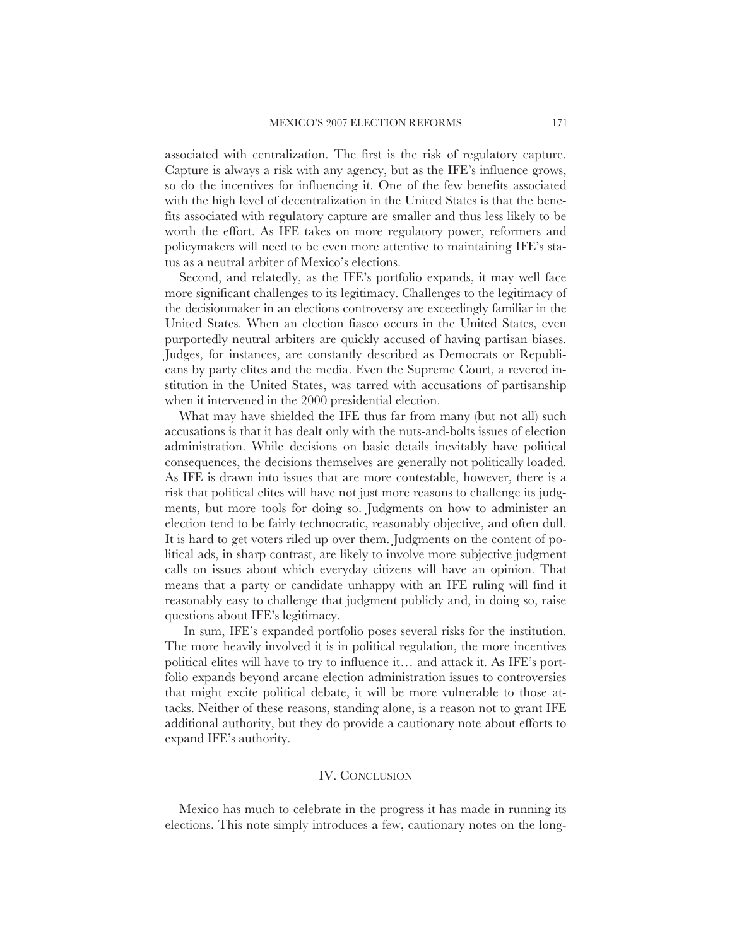associated with centralization. The first is the risk of regulatory capture. Capture is always a risk with any agency, but as the IFE's influence grows, so do the incentives for influencing it. One of the few benefits associated with the high level of decentralization in the United States is that the benefits associated with regulatory capture are smaller and thus less likely to be worth the effort. As IFE takes on more regulatory power, reformers and policymakers will need to be even more attentive to maintaining IFE's status as a neutral arbiter of Mexico's elections.

Second, and relatedly, as the IFE's portfolio expands, it may well face more significant challenges to its legitimacy. Challenges to the legitimacy of the decisionmaker in an elections controversy are exceedingly familiar in the United States. When an election fiasco occurs in the United States, even purportedly neutral arbiters are quickly accused of having partisan biases. Judges, for instances, are constantly described as Democrats or Republicans by party elites and the media. Even the Supreme Court, a revered institution in the United States, was tarred with accusations of partisanship when it intervened in the 2000 presidential election.

What may have shielded the IFE thus far from many (but not all) such accusations is that it has dealt only with the nuts-and-bolts issues of election administration. While decisions on basic details inevitably have political consequences, the decisions themselves are generally not politically loaded. As IFE is drawn into issues that are more contestable, however, there is a risk that political elites will have not just more reasons to challenge its judgments, but more tools for doing so. Judgments on how to administer an election tend to be fairly technocratic, reasonably objective, and often dull. It is hard to get voters riled up over them. Judgments on the content of political ads, in sharp contrast, are likely to involve more subjective judgment calls on issues about which everyday citizens will have an opinion. That means that a party or candidate unhappy with an IFE ruling will find it reasonably easy to challenge that judgment publicly and, in doing so, raise questions about IFE's legitimacy.

In sum, IFE's expanded portfolio poses several risks for the institution. The more heavily involved it is in political regulation, the more incentives political elites will have to try to influence it… and attack it. As IFE's portfolio expands beyond arcane election administration issues to controversies that might excite political debate, it will be more vulnerable to those attacks. Neither of these reasons, standing alone, is a reason not to grant IFE additional authority, but they do provide a cautionary note about efforts to expand IFE's authority.

#### IV. CONCLUSION

Mexico has much to celebrate in the progress it has made in running its elections. This note simply introduces a few, cautionary notes on the long